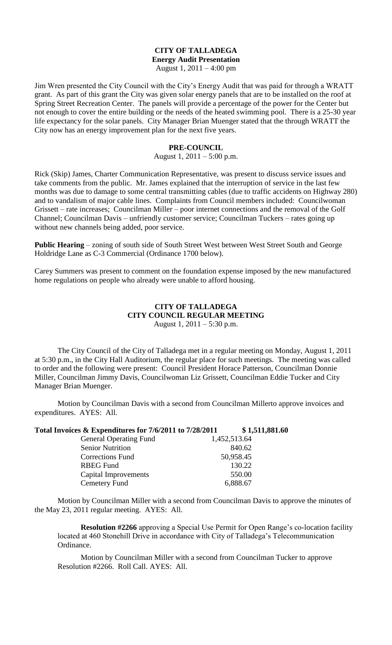### **CITY OF TALLADEGA Energy Audit Presentation** August 1, 2011 – 4:00 pm

Jim Wren presented the City Council with the City's Energy Audit that was paid for through a WRATT grant. As part of this grant the City was given solar energy panels that are to be installed on the roof at Spring Street Recreation Center. The panels will provide a percentage of the power for the Center but not enough to cover the entire building or the needs of the heated swimming pool. There is a 25-30 year life expectancy for the solar panels. City Manager Brian Muenger stated that the through WRATT the City now has an energy improvement plan for the next five years.

### **PRE-COUNCIL**

### August 1,  $2011 - 5:00$  p.m.

Rick (Skip) James, Charter Communication Representative, was present to discuss service issues and take comments from the public. Mr. James explained that the interruption of service in the last few months was due to damage to some central transmitting cables (due to traffic accidents on Highway 280) and to vandalism of major cable lines. Complaints from Council members included: Councilwoman Grissett – rate increases; Councilman Miller – poor internet connections and the removal of the Golf Channel; Councilman Davis – unfriendly customer service; Councilman Tuckers – rates going up without new channels being added, poor service.

**Public Hearing** – zoning of south side of South Street West between West Street South and George Holdridge Lane as C-3 Commercial (Ordinance 1700 below).

Carey Summers was present to comment on the foundation expense imposed by the new manufactured home regulations on people who already were unable to afford housing.

# **CITY OF TALLADEGA CITY COUNCIL REGULAR MEETING** August 1, 2011 – 5:30 p.m.

The City Council of the City of Talladega met in a regular meeting on Monday, August 1, 2011 at 5:30 p.m., in the City Hall Auditorium, the regular place for such meetings. The meeting was called to order and the following were present: Council President Horace Patterson, Councilman Donnie Miller, Councilman Jimmy Davis, Councilwoman Liz Grissett, Councilman Eddie Tucker and City Manager Brian Muenger.

Motion by Councilman Davis with a second from Councilman Millerto approve invoices and expenditures. AYES: All.

**Total Invoices & Expenditures for 7/6/2011 to 7/28/2011 \$ 1,511,881.60**

| <b>General Operating Fund</b> | 1,452,513.64 |
|-------------------------------|--------------|
| <b>Senior Nutrition</b>       | 840.62       |
| <b>Corrections Fund</b>       | 50,958.45    |
| <b>RBEG</b> Fund              | 130.22       |
| Capital Improvements          | 550.00       |
| Cemetery Fund                 | 6,888.67     |

Motion by Councilman Miller with a second from Councilman Davis to approve the minutes of the May 23, 2011 regular meeting. AYES: All.

**Resolution #2266** approving a Special Use Permit for Open Range's co-location facility located at 460 Stonehill Drive in accordance with City of Talladega's Telecommunication Ordinance.

Motion by Councilman Miller with a second from Councilman Tucker to approve Resolution #2266. Roll Call. AYES: All.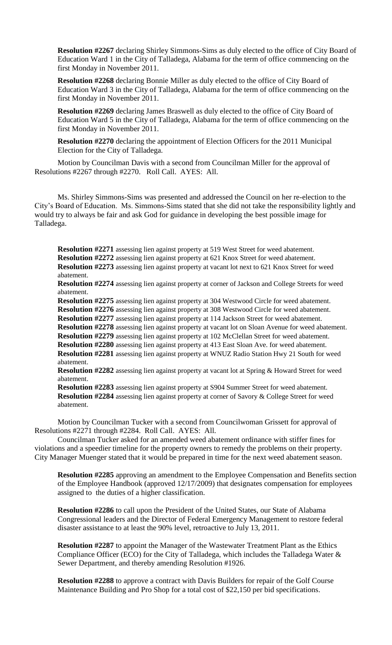**Resolution #2267** declaring Shirley Simmons-Sims as duly elected to the office of City Board of Education Ward 1 in the City of Talladega, Alabama for the term of office commencing on the first Monday in November 2011.

**Resolution #2268** declaring Bonnie Miller as duly elected to the office of City Board of Education Ward 3 in the City of Talladega, Alabama for the term of office commencing on the first Monday in November 2011.

**Resolution #2269** declaring James Braswell as duly elected to the office of City Board of Education Ward 5 in the City of Talladega, Alabama for the term of office commencing on the first Monday in November 2011.

**Resolution #2270** declaring the appointment of Election Officers for the 2011 Municipal Election for the City of Talladega.

Motion by Councilman Davis with a second from Councilman Miller for the approval of Resolutions #2267 through #2270. Roll Call. AYES: All.

Ms. Shirley Simmons-Sims was presented and addressed the Council on her re-election to the City's Board of Education. Ms. Simmons-Sims stated that she did not take the responsibility lightly and would try to always be fair and ask God for guidance in developing the best possible image for Talladega.

**Resolution #2271** assessing lien against property at 519 West Street for weed abatement. **Resolution #2272** assessing lien against property at 621 Knox Street for weed abatement.

**Resolution #2273** assessing lien against property at vacant lot next to 621 Knox Street for weed abatement.

**Resolution #2274** assessing lien against property at corner of Jackson and College Streets for weed abatement.

**Resolution #2275** assessing lien against property at 304 Westwood Circle for weed abatement. **Resolution #2276** assessing lien against property at 308 Westwood Circle for weed abatement.

**Resolution #2277** assessing lien against property at 114 Jackson Street for weed abatement.

**Resolution #2278** assessing lien against property at vacant lot on Sloan Avenue for weed abatement.

**Resolution #2279** assessing lien against property at 102 McClellan Street for weed abatement.

**Resolution #2280** assessing lien against property at 413 East Sloan Ave. for weed abatement. **Resolution #2281** assessing lien against property at WNUZ Radio Station Hwy 21 South for weed abatement.

**Resolution #2282** assessing lien against property at vacant lot at Spring & Howard Street for weed abatement.

**Resolution #2283** assessing lien against property at S904 Summer Street for weed abatement. **Resolution #2284** assessing lien against property at corner of Savory & College Street for weed abatement.

Motion by Councilman Tucker with a second from Councilwoman Grissett for approval of Resolutions #2271 through #2284. Roll Call. AYES: All.

Councilman Tucker asked for an amended weed abatement ordinance with stiffer fines for violations and a speedier timeline for the property owners to remedy the problems on their property. City Manager Muenger stated that it would be prepared in time for the next weed abatement season.

**Resolution #2285** approving an amendment to the Employee Compensation and Benefits section of the Employee Handbook (approved 12/17/2009) that designates compensation for employees assigned to the duties of a higher classification.

**Resolution #2286** to call upon the President of the United States, our State of Alabama Congressional leaders and the Director of Federal Emergency Management to restore federal disaster assistance to at least the 90% level, retroactive to July 13, 2011.

**Resolution #2287** to appoint the Manager of the Wastewater Treatment Plant as the Ethics Compliance Officer (ECO) for the City of Talladega, which includes the Talladega Water & Sewer Department, and thereby amending Resolution #1926.

**Resolution #2288** to approve a contract with Davis Builders for repair of the Golf Course Maintenance Building and Pro Shop for a total cost of \$22,150 per bid specifications.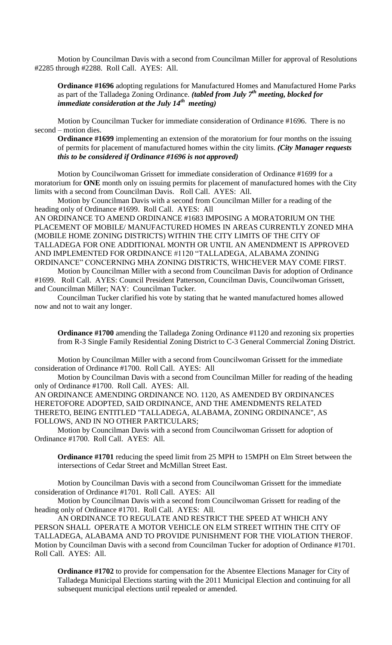Motion by Councilman Davis with a second from Councilman Miller for approval of Resolutions #2285 through #2288. Roll Call. AYES: All.

**Ordinance #1696** adopting regulations for Manufactured Homes and Manufactured Home Parks as part of the Talladega Zoning Ordinance. *(tabled from July 7th meeting, blocked for immediate consideration at the July 14th meeting)*

Motion by Councilman Tucker for immediate consideration of Ordinance #1696. There is no second – motion dies.

**Ordinance #1699** implementing an extension of the moratorium for four months on the issuing of permits for placement of manufactured homes within the city limits. *(City Manager requests this to be considered if Ordinance #1696 is not approved)*

Motion by Councilwoman Grissett for immediate consideration of Ordinance #1699 for a moratorium for **ONE** month only on issuing permits for placement of manufactured homes with the City limits with a second from Councilman Davis. Roll Call. AYES: All.

Motion by Councilman Davis with a second from Councilman Miller for a reading of the heading only of Ordinance #1699. Roll Call. AYES: All

AN ORDINANCE TO AMEND ORDINANCE #1683 IMPOSING A MORATORIUM ON THE PLACEMENT OF MOBILE/ MANUFACTURED HOMES IN AREAS CURRENTLY ZONED MHA (MOBILE HOME ZONING DISTRICTS) WITHIN THE CITY LIMITS OF THE CITY OF TALLADEGA FOR ONE ADDITIONAL MONTH OR UNTIL AN AMENDMENT IS APPROVED AND IMPLEMENTED FOR ORDINANCE #1120 "TALLADEGA, ALABAMA ZONING ORDINANCE" CONCERNING MHA ZONING DISTRICTS, WHICHEVER MAY COME FIRST.

Motion by Councilman Miller with a second from Councilman Davis for adoption of Ordinance #1699. Roll Call. AYES: Council President Patterson, Councilman Davis, Councilwoman Grissett, and Councilman Miller; NAY: Councilman Tucker.

Councilman Tucker clarified his vote by stating that he wanted manufactured homes allowed now and not to wait any longer.

**Ordinance #1700** amending the Talladega Zoning Ordinance #1120 and rezoning six properties from R-3 Single Family Residential Zoning District to C-3 General Commercial Zoning District.

Motion by Councilman Miller with a second from Councilwoman Grissett for the immediate consideration of Ordinance #1700. Roll Call. AYES: All

Motion by Councilman Davis with a second from Councilman Miller for reading of the heading only of Ordinance #1700. Roll Call. AYES: All.

AN ORDINANCE AMENDING ORDINANCE NO. 1120, AS AMENDED BY ORDINANCES HERETOFORE ADOPTED, SAID ORDINANCE, AND THE AMENDMENTS RELATED THERETO, BEING ENTITLED "TALLADEGA, ALABAMA, ZONING ORDINANCE", AS FOLLOWS, AND IN NO OTHER PARTICULARS;

Motion by Councilman Davis with a second from Councilwoman Grissett for adoption of Ordinance #1700. Roll Call. AYES: All.

**Ordinance #1701** reducing the speed limit from 25 MPH to 15MPH on Elm Street between the intersections of Cedar Street and McMillan Street East.

Motion by Councilman Davis with a second from Councilwoman Grissett for the immediate consideration of Ordinance #1701. Roll Call. AYES: All

Motion by Councilman Davis with a second from Councilwoman Grissett for reading of the heading only of Ordinance #1701. Roll Call. AYES: All.

AN ORDINANCE TO REGULATE AND RESTRICT THE SPEED AT WHICH ANY PERSON SHALL OPERATE A MOTOR VEHICLE ON ELM STREET WITHIN THE CITY OF TALLADEGA, ALABAMA AND TO PROVIDE PUNISHMENT FOR THE VIOLATION THEROF. Motion by Councilman Davis with a second from Councilman Tucker for adoption of Ordinance #1701. Roll Call. AYES: All.

**Ordinance #1702** to provide for compensation for the Absentee Elections Manager for City of Talladega Municipal Elections starting with the 2011 Municipal Election and continuing for all subsequent municipal elections until repealed or amended.